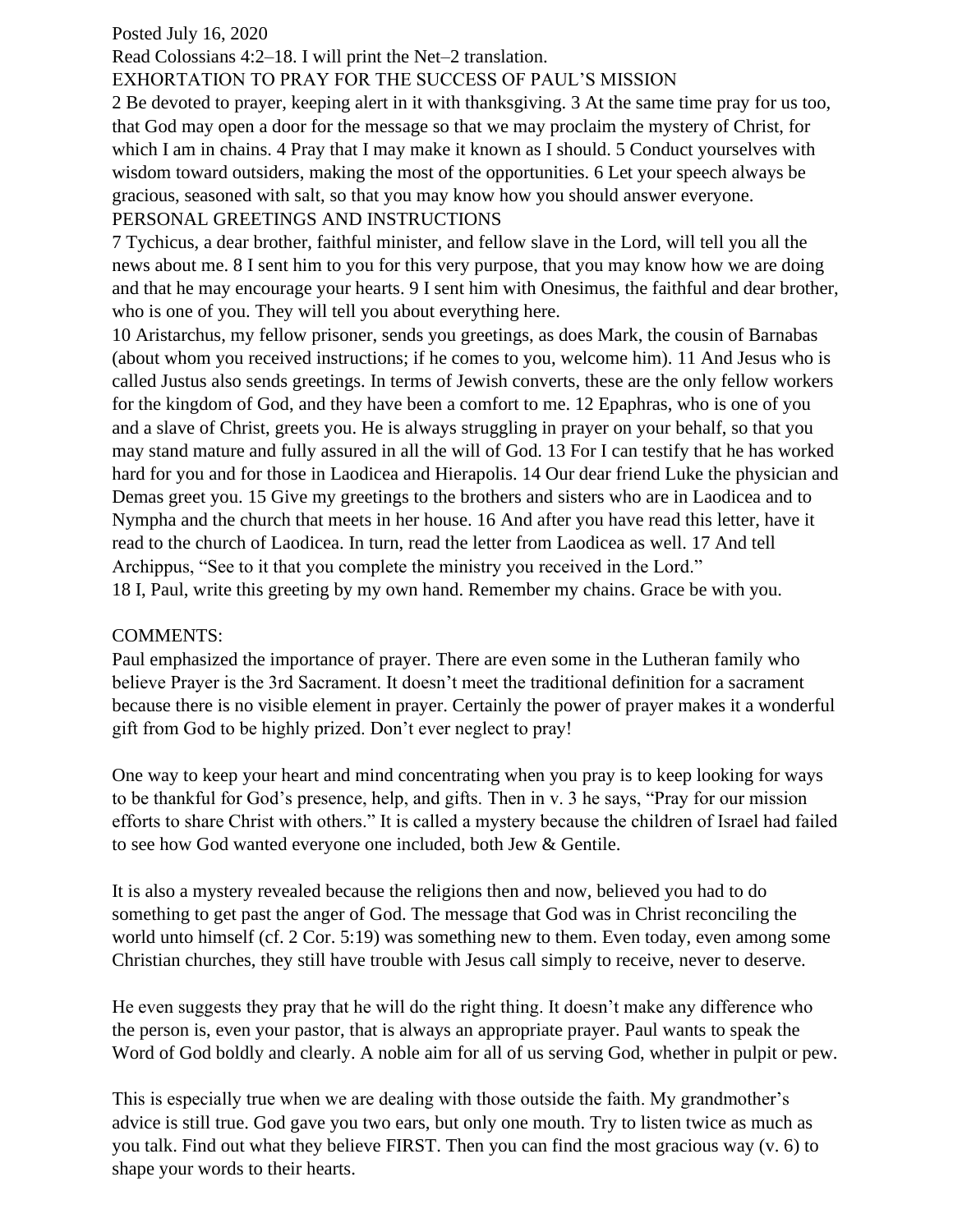## Posted July 16, 2020

Read Colossians 4:2–18. I will print the Net–2 translation.

## EXHORTATION TO PRAY FOR THE SUCCESS OF PAUL'S MISSION

2 Be devoted to prayer, keeping alert in it with thanksgiving. 3 At the same time pray for us too, that God may open a door for the message so that we may proclaim the mystery of Christ, for which I am in chains. 4 Pray that I may make it known as I should. 5 Conduct yourselves with wisdom toward outsiders, making the most of the opportunities. 6 Let your speech always be gracious, seasoned with salt, so that you may know how you should answer everyone. PERSONAL GREETINGS AND INSTRUCTIONS

7 Tychicus, a dear brother, faithful minister, and fellow slave in the Lord, will tell you all the news about me. 8 I sent him to you for this very purpose, that you may know how we are doing and that he may encourage your hearts. 9 I sent him with Onesimus, the faithful and dear brother, who is one of you. They will tell you about everything here.

10 Aristarchus, my fellow prisoner, sends you greetings, as does Mark, the cousin of Barnabas (about whom you received instructions; if he comes to you, welcome him). 11 And Jesus who is called Justus also sends greetings. In terms of Jewish converts, these are the only fellow workers for the kingdom of God, and they have been a comfort to me. 12 Epaphras, who is one of you and a slave of Christ, greets you. He is always struggling in prayer on your behalf, so that you may stand mature and fully assured in all the will of God. 13 For I can testify that he has worked hard for you and for those in Laodicea and Hierapolis. 14 Our dear friend Luke the physician and Demas greet you. 15 Give my greetings to the brothers and sisters who are in Laodicea and to Nympha and the church that meets in her house. 16 And after you have read this letter, have it read to the church of Laodicea. In turn, read the letter from Laodicea as well. 17 And tell Archippus, "See to it that you complete the ministry you received in the Lord." 18 I, Paul, write this greeting by my own hand. Remember my chains. Grace be with you.

## COMMENTS:

Paul emphasized the importance of prayer. There are even some in the Lutheran family who believe Prayer is the 3rd Sacrament. It doesn't meet the traditional definition for a sacrament because there is no visible element in prayer. Certainly the power of prayer makes it a wonderful gift from God to be highly prized. Don't ever neglect to pray!

One way to keep your heart and mind concentrating when you pray is to keep looking for ways to be thankful for God's presence, help, and gifts. Then in v. 3 he says, "Pray for our mission efforts to share Christ with others." It is called a mystery because the children of Israel had failed to see how God wanted everyone one included, both Jew & Gentile.

It is also a mystery revealed because the religions then and now, believed you had to do something to get past the anger of God. The message that God was in Christ reconciling the world unto himself (cf. 2 Cor. 5:19) was something new to them. Even today, even among some Christian churches, they still have trouble with Jesus call simply to receive, never to deserve.

He even suggests they pray that he will do the right thing. It doesn't make any difference who the person is, even your pastor, that is always an appropriate prayer. Paul wants to speak the Word of God boldly and clearly. A noble aim for all of us serving God, whether in pulpit or pew.

This is especially true when we are dealing with those outside the faith. My grandmother's advice is still true. God gave you two ears, but only one mouth. Try to listen twice as much as you talk. Find out what they believe FIRST. Then you can find the most gracious way (v. 6) to shape your words to their hearts.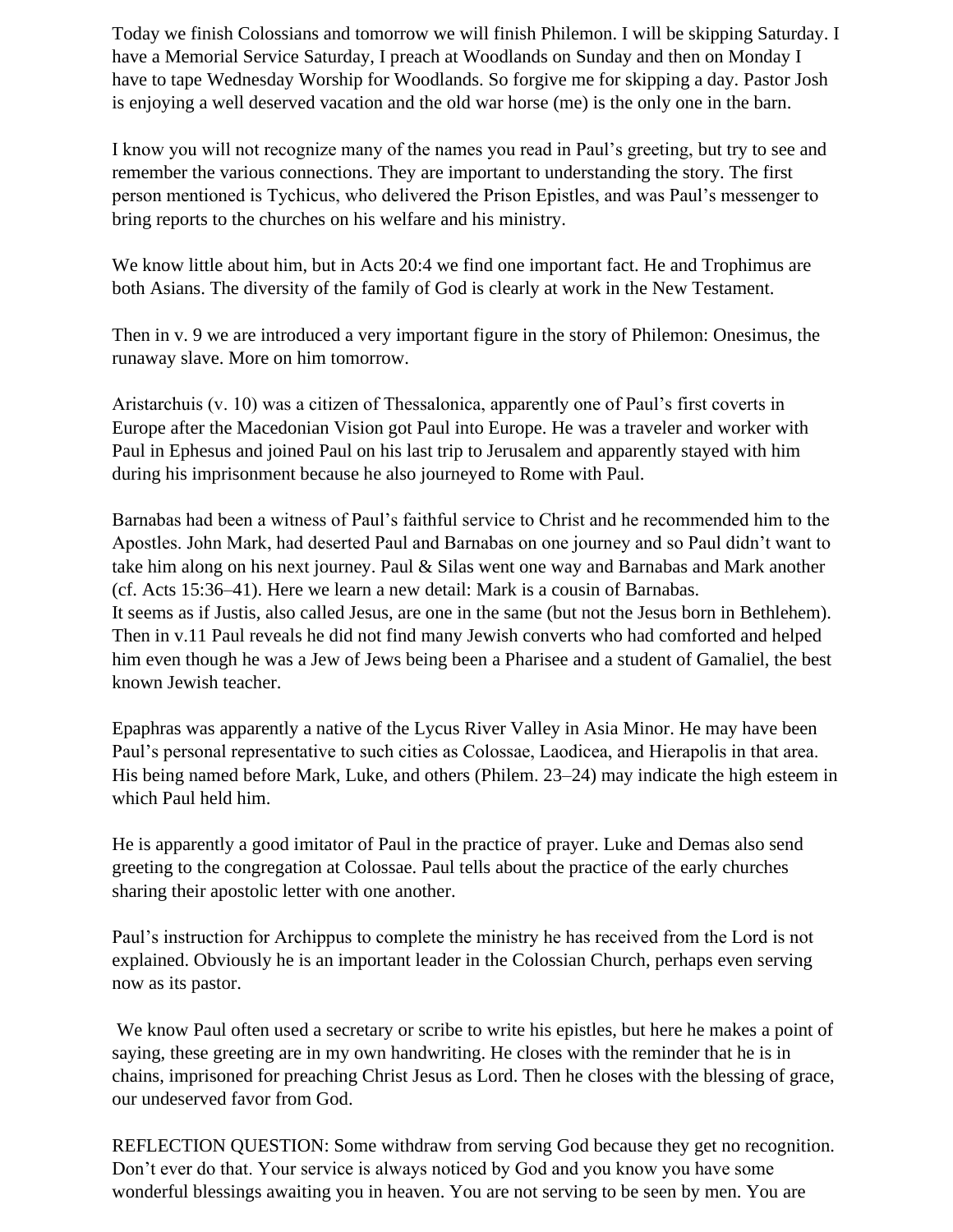Today we finish Colossians and tomorrow we will finish Philemon. I will be skipping Saturday. I have a Memorial Service Saturday, I preach at Woodlands on Sunday and then on Monday I have to tape Wednesday Worship for Woodlands. So forgive me for skipping a day. Pastor Josh is enjoying a well deserved vacation and the old war horse (me) is the only one in the barn.

I know you will not recognize many of the names you read in Paul's greeting, but try to see and remember the various connections. They are important to understanding the story. The first person mentioned is Tychicus, who delivered the Prison Epistles, and was Paul's messenger to bring reports to the churches on his welfare and his ministry.

We know little about him, but in Acts 20:4 we find one important fact. He and Trophimus are both Asians. The diversity of the family of God is clearly at work in the New Testament.

Then in v. 9 we are introduced a very important figure in the story of Philemon: Onesimus, the runaway slave. More on him tomorrow.

Aristarchuis (v. 10) was a citizen of Thessalonica, apparently one of Paul's first coverts in Europe after the Macedonian Vision got Paul into Europe. He was a traveler and worker with Paul in Ephesus and joined Paul on his last trip to Jerusalem and apparently stayed with him during his imprisonment because he also journeyed to Rome with Paul.

Barnabas had been a witness of Paul's faithful service to Christ and he recommended him to the Apostles. John Mark, had deserted Paul and Barnabas on one journey and so Paul didn't want to take him along on his next journey. Paul & Silas went one way and Barnabas and Mark another (cf. Acts 15:36–41). Here we learn a new detail: Mark is a cousin of Barnabas. It seems as if Justis, also called Jesus, are one in the same (but not the Jesus born in Bethlehem). Then in v.11 Paul reveals he did not find many Jewish converts who had comforted and helped him even though he was a Jew of Jews being been a Pharisee and a student of Gamaliel, the best known Jewish teacher.

Epaphras was apparently a native of the Lycus River Valley in Asia Minor. He may have been Paul's personal representative to such cities as Colossae, Laodicea, and Hierapolis in that area. His being named before Mark, Luke, and others (Philem. 23–24) may indicate the high esteem in which Paul held him.

He is apparently a good imitator of Paul in the practice of prayer. Luke and Demas also send greeting to the congregation at Colossae. Paul tells about the practice of the early churches sharing their apostolic letter with one another.

Paul's instruction for Archippus to complete the ministry he has received from the Lord is not explained. Obviously he is an important leader in the Colossian Church, perhaps even serving now as its pastor.

We know Paul often used a secretary or scribe to write his epistles, but here he makes a point of saying, these greeting are in my own handwriting. He closes with the reminder that he is in chains, imprisoned for preaching Christ Jesus as Lord. Then he closes with the blessing of grace, our undeserved favor from God.

REFLECTION QUESTION: Some withdraw from serving God because they get no recognition. Don't ever do that. Your service is always noticed by God and you know you have some wonderful blessings awaiting you in heaven. You are not serving to be seen by men. You are